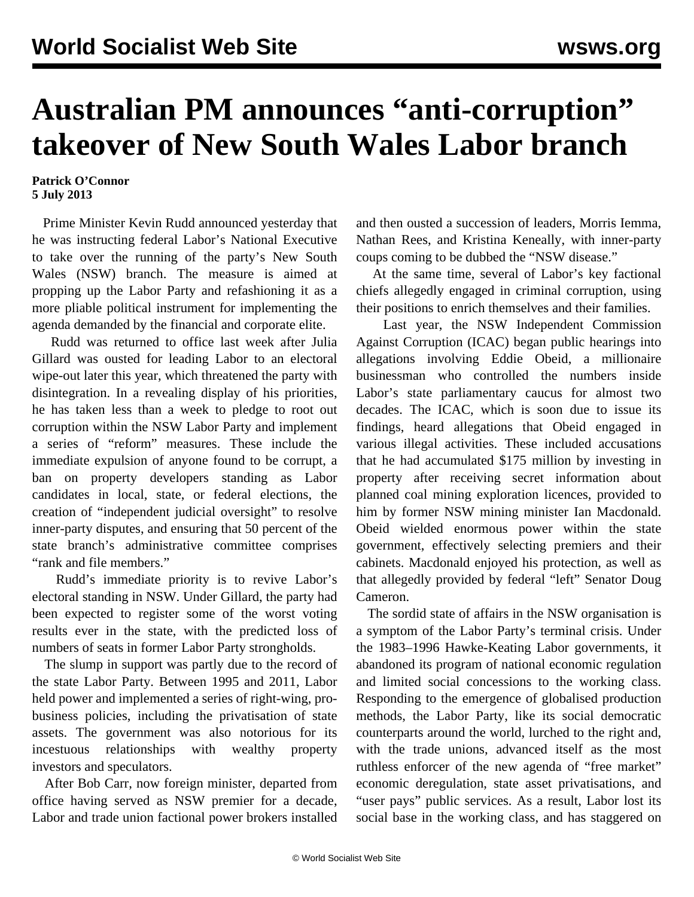## **Australian PM announces "anti-corruption" takeover of New South Wales Labor branch**

## **Patrick O'Connor 5 July 2013**

 Prime Minister Kevin Rudd announced yesterday that he was instructing federal Labor's National Executive to take over the running of the party's New South Wales (NSW) branch. The measure is aimed at propping up the Labor Party and refashioning it as a more pliable political instrument for implementing the agenda demanded by the financial and corporate elite.

 Rudd was returned to office last week after Julia Gillard was ousted for leading Labor to an electoral wipe-out later this year, which threatened the party with disintegration. In a revealing display of his priorities, he has taken less than a week to pledge to root out corruption within the NSW Labor Party and implement a series of "reform" measures. These include the immediate expulsion of anyone found to be corrupt, a ban on property developers standing as Labor candidates in local, state, or federal elections, the creation of "independent judicial oversight" to resolve inner-party disputes, and ensuring that 50 percent of the state branch's administrative committee comprises "rank and file members."

 Rudd's immediate priority is to revive Labor's electoral standing in NSW. Under Gillard, the party had been expected to register some of the worst voting results ever in the state, with the predicted loss of numbers of seats in former Labor Party strongholds.

 The slump in support was partly due to the record of the state Labor Party. Between 1995 and 2011, Labor held power and implemented a series of right-wing, probusiness policies, including the privatisation of state assets. The government was also notorious for its incestuous relationships with wealthy property investors and speculators.

 After Bob Carr, now foreign minister, departed from office having served as NSW premier for a decade, Labor and trade union factional power brokers installed and then ousted a succession of leaders, Morris Iemma, Nathan Rees, and Kristina Keneally, with inner-party coups coming to be dubbed the "NSW disease."

 At the same time, several of Labor's key factional chiefs allegedly engaged in criminal corruption, using their positions to enrich themselves and their families.

 Last year, the NSW Independent Commission Against Corruption (ICAC) began public hearings into allegations involving Eddie Obeid, a millionaire businessman who controlled the numbers inside Labor's state parliamentary caucus for almost two decades. The ICAC, which is soon due to issue its findings, heard allegations that Obeid engaged in various illegal activities. These included accusations that he had accumulated \$175 million by investing in property after receiving secret information about planned coal mining exploration licences, provided to him by former NSW mining minister Ian Macdonald. Obeid wielded enormous power within the state government, effectively selecting premiers and their cabinets. Macdonald enjoyed his protection, as well as that allegedly provided by federal "left" Senator Doug Cameron.

 The sordid state of affairs in the NSW organisation is a symptom of the Labor Party's terminal crisis. Under the 1983–1996 Hawke-Keating Labor governments, it abandoned its program of national economic regulation and limited social concessions to the working class. Responding to the emergence of globalised production methods, the Labor Party, like its social democratic counterparts around the world, lurched to the right and, with the trade unions, advanced itself as the most ruthless enforcer of the new agenda of "free market" economic deregulation, state asset privatisations, and "user pays" public services. As a result, Labor lost its social base in the working class, and has staggered on